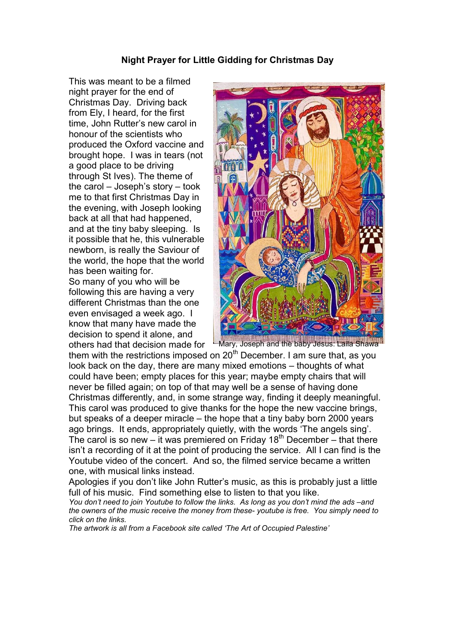### Night Prayer for Little Gidding for Christmas Day

This was meant to be a filmed night prayer for the end of Christmas Day. Driving back from Ely, I heard, for the first time, John Rutter's new carol in honour of the scientists who produced the Oxford vaccine and brought hope. I was in tears (not a good place to be driving through St Ives). The theme of the carol – Joseph's story – took me to that first Christmas Day in the evening, with Joseph looking back at all that had happened, and at the tiny baby sleeping. Is it possible that he, this vulnerable newborn, is really the Saviour of the world, the hope that the world has been waiting for. So many of you who will be following this are having a very different Christmas than the one even envisaged a week ago. I know that many have made the decision to spend it alone, and others had that decision made for



Mary, Joseph and the baby Jesus: Laila Shawa

them with the restrictions imposed on  $20<sup>th</sup>$  December. I am sure that, as you look back on the day, there are many mixed emotions – thoughts of what could have been; empty places for this year; maybe empty chairs that will never be filled again; on top of that may well be a sense of having done Christmas differently, and, in some strange way, finding it deeply meaningful. This carol was produced to give thanks for the hope the new vaccine brings, but speaks of a deeper miracle – the hope that a tiny baby born 2000 years ago brings. It ends, appropriately quietly, with the words 'The angels sing'. The carol is so new – it was premiered on Friday  $18<sup>th</sup>$  December – that there isn't a recording of it at the point of producing the service. All I can find is the Youtube video of the concert. And so, the filmed service became a written one, with musical links instead.

Apologies if you don't like John Rutter's music, as this is probably just a little full of his music. Find something else to listen to that you like.

You don't need to join Youtube to follow the links. As long as you don't mind the ads –and the owners of the music receive the money from these- youtube is free. You simply need to click on the links.

The artwork is all from a Facebook site called 'The Art of Occupied Palestine'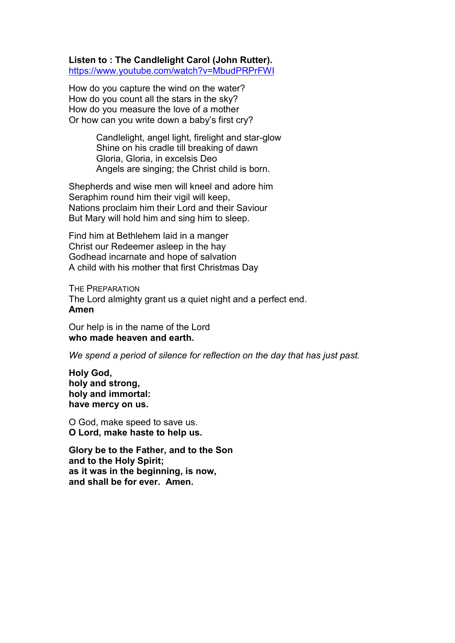Listen to : The Candlelight Carol (John Rutter). https://www.youtube.com/watch?v=MbudPRPrFWI

How do you capture the wind on the water? How do you count all the stars in the sky? How do you measure the love of a mother Or how can you write down a baby's first cry?

> Candlelight, angel light, firelight and star-glow Shine on his cradle till breaking of dawn Gloria, Gloria, in excelsis Deo Angels are singing; the Christ child is born.

Shepherds and wise men will kneel and adore him Seraphim round him their vigil will keep, Nations proclaim him their Lord and their Saviour But Mary will hold him and sing him to sleep.

Find him at Bethlehem laid in a manger Christ our Redeemer asleep in the hay Godhead incarnate and hope of salvation A child with his mother that first Christmas Day

THE PREPARATION The Lord almighty grant us a quiet night and a perfect end. Amen

Our help is in the name of the Lord who made heaven and earth.

We spend a period of silence for reflection on the day that has just past.

Holy God, holy and strong, holy and immortal: have mercy on us.

O God, make speed to save us. O Lord, make haste to help us.

Glory be to the Father, and to the Son and to the Holy Spirit; as it was in the beginning, is now, and shall be for ever. Amen.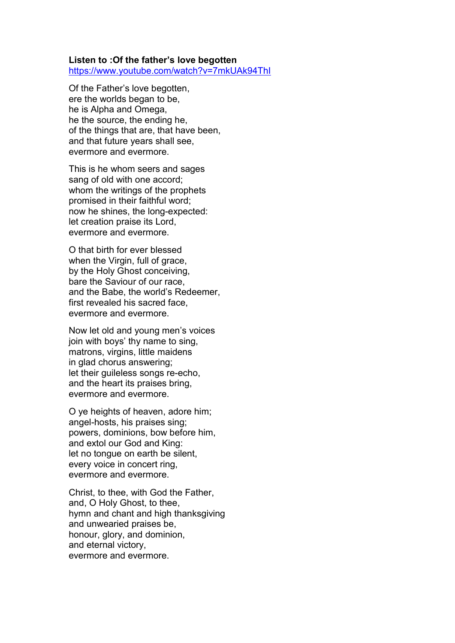#### Listen to :Of the father's love begotten https://www.youtube.com/watch?v=7mkUAk94ThI

Of the Father's love begotten, ere the worlds began to be, he is Alpha and Omega, he the source, the ending he, of the things that are, that have been, and that future years shall see, evermore and evermore.

This is he whom seers and sages sang of old with one accord; whom the writings of the prophets promised in their faithful word; now he shines, the long-expected: let creation praise its Lord, evermore and evermore.

O that birth for ever blessed when the Virgin, full of grace, by the Holy Ghost conceiving, bare the Saviour of our race, and the Babe, the world's Redeemer, first revealed his sacred face, evermore and evermore.

Now let old and young men's voices join with boys' thy name to sing, matrons, virgins, little maidens in glad chorus answering; let their guileless songs re-echo, and the heart its praises bring, evermore and evermore.

O ye heights of heaven, adore him; angel-hosts, his praises sing; powers, dominions, bow before him, and extol our God and King: let no tongue on earth be silent, every voice in concert ring, evermore and evermore.

Christ, to thee, with God the Father, and, O Holy Ghost, to thee, hymn and chant and high thanksgiving and unwearied praises be, honour, glory, and dominion, and eternal victory, evermore and evermore.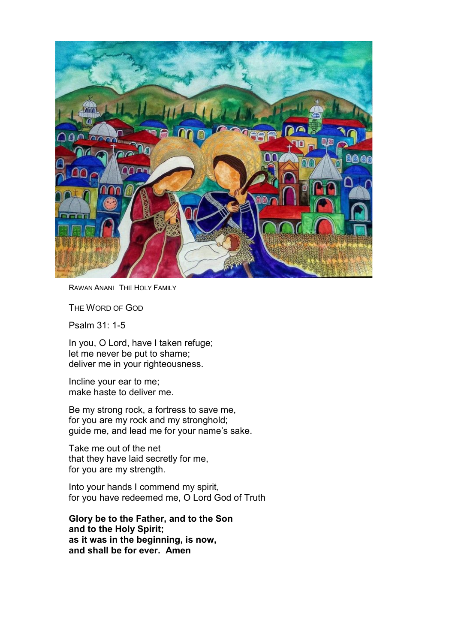

RAWAN ANANI THE HOLY FAMILY

THE WORD OF GOD

Psalm 31: 1-5

In you, O Lord, have I taken refuge; let me never be put to shame; deliver me in your righteousness.

Incline your ear to me; make haste to deliver me.

Be my strong rock, a fortress to save me, for you are my rock and my stronghold; guide me, and lead me for your name's sake.

Take me out of the net that they have laid secretly for me, for you are my strength.

Into your hands I commend my spirit, for you have redeemed me, O Lord God of Truth

Glory be to the Father, and to the Son and to the Holy Spirit; as it was in the beginning, is now, and shall be for ever. Amen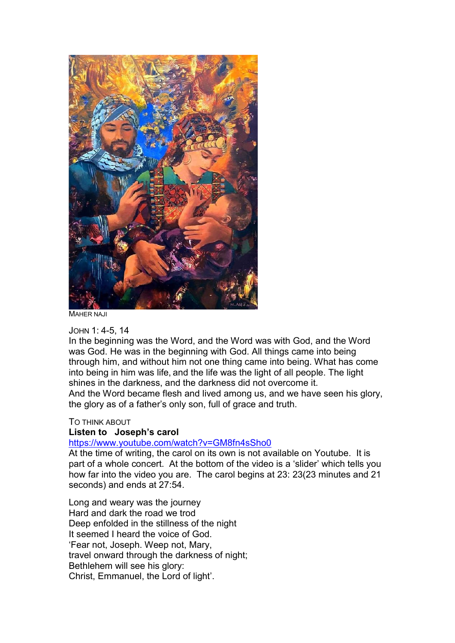

MAHER NAJI

### JOHN 1: 4-5, 14

In the beginning was the Word, and the Word was with God, and the Word was God. He was in the beginning with God. All things came into being through him, and without him not one thing came into being. What has come into being in him was life, and the life was the light of all people. The light shines in the darkness, and the darkness did not overcome it. And the Word became flesh and lived among us, and we have seen his glory, the glory as of a father's only son, full of grace and truth.

### TO THINK ABOUT

# Listen to Joseph's carol

# https://www.youtube.com/watch?v=GM8fn4sSho0

At the time of writing, the carol on its own is not available on Youtube. It is part of a whole concert. At the bottom of the video is a 'slider' which tells you how far into the video you are. The carol begins at 23: 23(23 minutes and 21 seconds) and ends at 27:54.

Long and weary was the journey Hard and dark the road we trod Deep enfolded in the stillness of the night It seemed I heard the voice of God. 'Fear not, Joseph. Weep not, Mary, travel onward through the darkness of night; Bethlehem will see his glory: Christ, Emmanuel, the Lord of light'.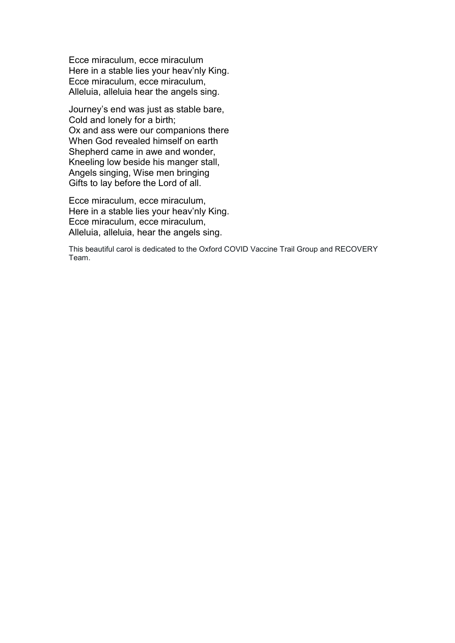Ecce miraculum, ecce miraculum Here in a stable lies your heav'nly King. Ecce miraculum, ecce miraculum, Alleluia, alleluia hear the angels sing.

Journey's end was just as stable bare, Cold and lonely for a birth; Ox and ass were our companions there When God revealed himself on earth Shepherd came in awe and wonder, Kneeling low beside his manger stall, Angels singing, Wise men bringing Gifts to lay before the Lord of all.

Ecce miraculum, ecce miraculum, Here in a stable lies your heav'nly King. Ecce miraculum, ecce miraculum, Alleluia, alleluia, hear the angels sing.

This beautiful carol is dedicated to the Oxford COVID Vaccine Trail Group and RECOVERY Team.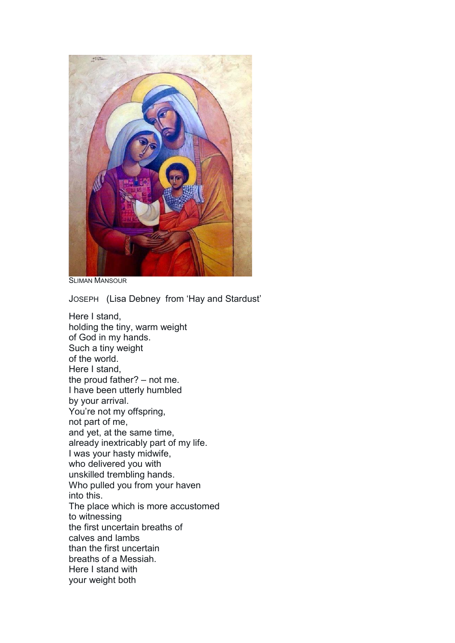

SLIMAN MANSOUR

JOSEPH (Lisa Debney from 'Hay and Stardust'

Here I stand, holding the tiny, warm weight of God in my hands. Such a tiny weight of the world. Here I stand, the proud father? – not me. I have been utterly humbled by your arrival. You're not my offspring, not part of me, and yet, at the same time, already inextricably part of my life. I was your hasty midwife, who delivered you with unskilled trembling hands. Who pulled you from your haven into this. The place which is more accustomed to witnessing the first uncertain breaths of calves and lambs than the first uncertain breaths of a Messiah. Here I stand with your weight both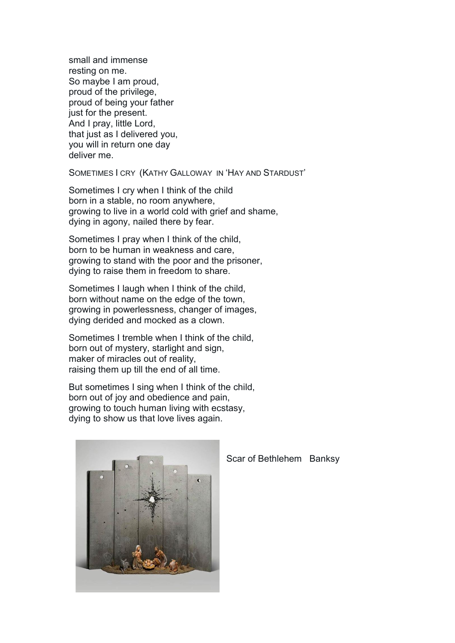small and immense resting on me. So maybe I am proud, proud of the privilege, proud of being your father just for the present. And I pray, little Lord, that just as I delivered you, you will in return one day deliver me.

SOMETIMES I CRY (KATHY GALLOWAY IN 'HAY AND STARDUST'

Sometimes I cry when I think of the child born in a stable, no room anywhere, growing to live in a world cold with grief and shame, dying in agony, nailed there by fear.

Sometimes I pray when I think of the child, born to be human in weakness and care, growing to stand with the poor and the prisoner, dying to raise them in freedom to share.

Sometimes I laugh when I think of the child, born without name on the edge of the town, growing in powerlessness, changer of images, dying derided and mocked as a clown.

Sometimes I tremble when I think of the child, born out of mystery, starlight and sign, maker of miracles out of reality, raising them up till the end of all time.

But sometimes I sing when I think of the child, born out of joy and obedience and pain, growing to touch human living with ecstasy, dying to show us that love lives again.



Scar of Bethlehem Banksy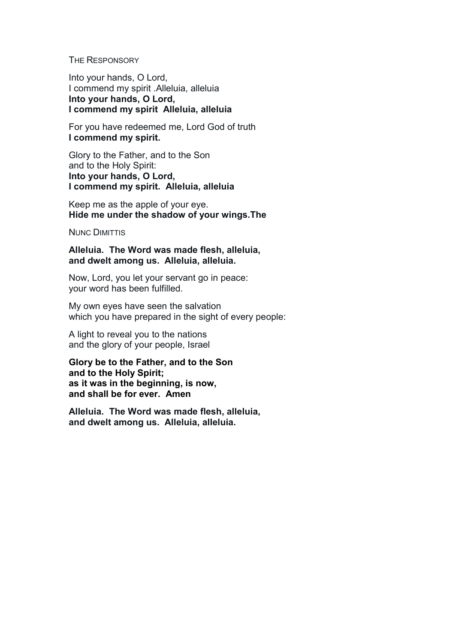#### THE RESPONSORY

Into your hands, O Lord, I commend my spirit .Alleluia, alleluia Into your hands, O Lord, I commend my spirit Alleluia, alleluia

For you have redeemed me, Lord God of truth I commend my spirit.

Glory to the Father, and to the Son and to the Holy Spirit: Into your hands, O Lord, I commend my spirit. Alleluia, alleluia

Keep me as the apple of your eye. Hide me under the shadow of your wings.The

NUNC DIMITTIS

Alleluia. The Word was made flesh, alleluia, and dwelt among us. Alleluia, alleluia.

Now, Lord, you let your servant go in peace: your word has been fulfilled.

My own eyes have seen the salvation which you have prepared in the sight of every people:

A light to reveal you to the nations and the glory of your people, Israel

Glory be to the Father, and to the Son and to the Holy Spirit; as it was in the beginning, is now, and shall be for ever. Amen

Alleluia. The Word was made flesh, alleluia, and dwelt among us. Alleluia, alleluia.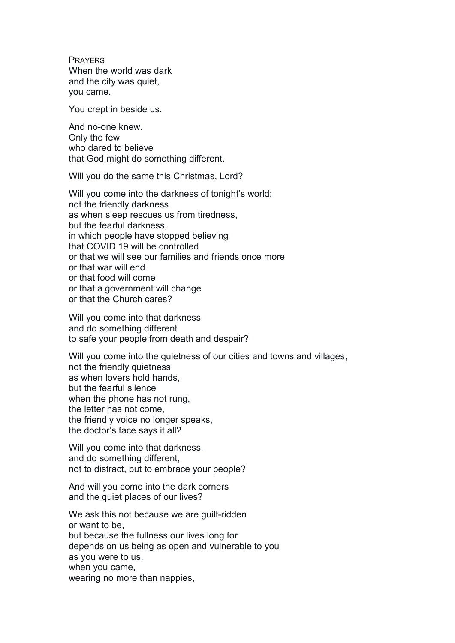PRAYERS When the world was dark and the city was quiet, you came.

You crept in beside us.

And no-one knew. Only the few who dared to believe that God might do something different.

Will you do the same this Christmas, Lord?

Will you come into the darkness of tonight's world; not the friendly darkness as when sleep rescues us from tiredness, but the fearful darkness, in which people have stopped believing that COVID 19 will be controlled or that we will see our families and friends once more or that war will end or that food will come or that a government will change or that the Church cares?

Will you come into that darkness and do something different to safe your people from death and despair?

Will you come into the quietness of our cities and towns and villages, not the friendly quietness as when lovers hold hands, but the fearful silence when the phone has not rung, the letter has not come, the friendly voice no longer speaks, the doctor's face says it all?

Will you come into that darkness. and do something different, not to distract, but to embrace your people?

And will you come into the dark corners and the quiet places of our lives?

We ask this not because we are guilt-ridden or want to be, but because the fullness our lives long for depends on us being as open and vulnerable to you as you were to us, when you came, wearing no more than nappies,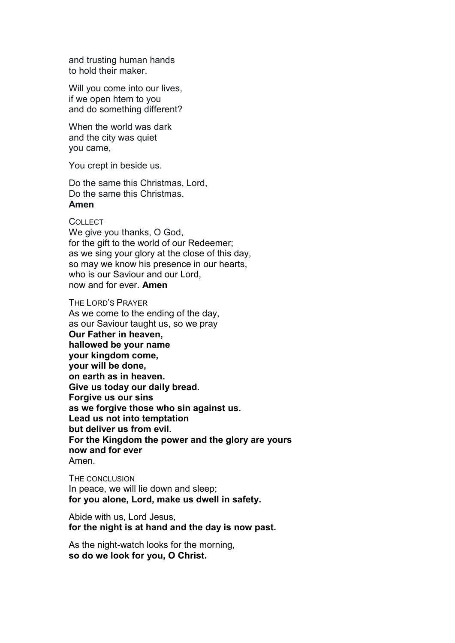and trusting human hands to hold their maker.

Will you come into our lives, if we open htem to you and do something different?

When the world was dark and the city was quiet you came,

You crept in beside us.

Do the same this Christmas, Lord, Do the same this Christmas. Amen

### **COLLECT**

We give you thanks, O God. for the gift to the world of our Redeemer; as we sing your glory at the close of this day, so may we know his presence in our hearts, who is our Saviour and our Lord. now and for ever. Amen

THE LORD'S PRAYER As we come to the ending of the day, as our Saviour taught us, so we pray Our Father in heaven, hallowed be your name your kingdom come, your will be done, on earth as in heaven. Give us today our daily bread. Forgive us our sins as we forgive those who sin against us. Lead us not into temptation but deliver us from evil. For the Kingdom the power and the glory are yours now and for ever Amen.

THE CONCLUSION In peace, we will lie down and sleep; for you alone, Lord, make us dwell in safety.

Abide with us, Lord Jesus, for the night is at hand and the day is now past.

As the night-watch looks for the morning, so do we look for you, O Christ.